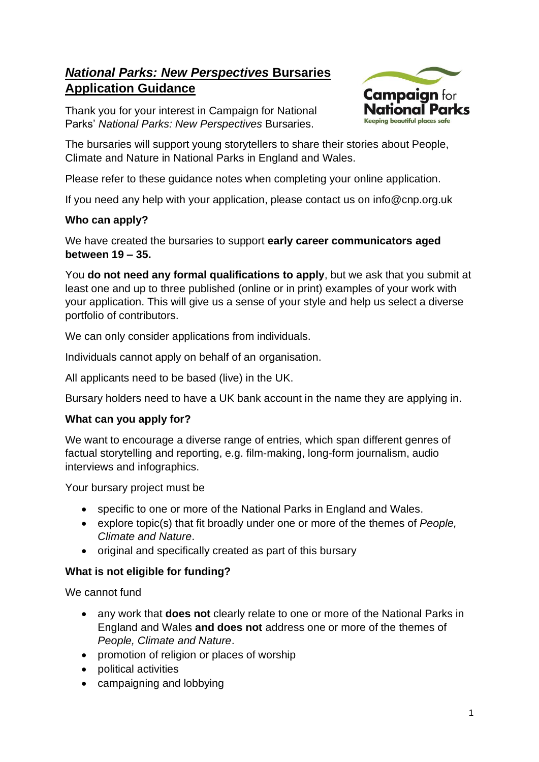# *National Parks: New Perspectives* **Bursaries Application Guidance**

Thank you for your interest in Campaign for National Parks' *National Parks: New Perspectives* Bursaries.



The bursaries will support young storytellers to share their stories about People, Climate and Nature in National Parks in England and Wales.

Please refer to these guidance notes when completing your online application.

If you need any help with your application, please contact us on info@cnp.org.uk

#### **Who can apply?**

We have created the bursaries to support **early career communicators aged between 19 – 35.**

You **do not need any formal qualifications to apply**, but we ask that you submit at least one and up to three published (online or in print) examples of your work with your application. This will give us a sense of your style and help us select a diverse portfolio of contributors.

We can only consider applications from individuals.

Individuals cannot apply on behalf of an organisation.

All applicants need to be based (live) in the UK.

Bursary holders need to have a UK bank account in the name they are applying in.

#### **What can you apply for?**

We want to encourage a diverse range of entries, which span different genres of factual storytelling and reporting, e.g. film-making, long-form journalism, audio interviews and infographics.

Your bursary project must be

- specific to one or more of the National Parks in England and Wales.
- explore topic(s) that fit broadly under one or more of the themes of *People, Climate and Nature*.
- original and specifically created as part of this bursary

### **What is not eligible for funding?**

We cannot fund

- any work that **does not** clearly relate to one or more of the National Parks in England and Wales **and does not** address one or more of the themes of *People, Climate and Nature*.
- promotion of religion or places of worship
- political activities
- campaigning and lobbying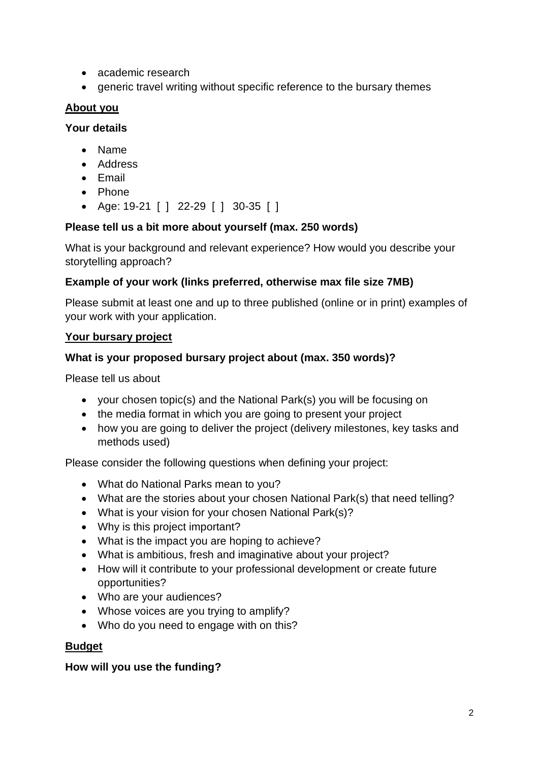- academic research
- generic travel writing without specific reference to the bursary themes

#### **About you**

#### **Your details**

- Name
- Address
- Email
- Phone
- Age: 19-21 [ ] 22-29 [ ] 30-35 [ ]

#### **Please tell us a bit more about yourself (max. 250 words)**

What is your background and relevant experience? How would you describe your storytelling approach?

#### **Example of your work (links preferred, otherwise max file size 7MB)**

Please submit at least one and up to three published (online or in print) examples of your work with your application.

#### **Your bursary project**

#### **What is your proposed bursary project about (max. 350 words)?**

Please tell us about

- your chosen topic(s) and the National Park(s) you will be focusing on
- the media format in which you are going to present your project
- how you are going to deliver the project (delivery milestones, key tasks and methods used)

Please consider the following questions when defining your project:

- What do National Parks mean to you?
- What are the stories about your chosen National Park(s) that need telling?
- What is your vision for your chosen National Park(s)?
- Why is this project important?
- What is the impact you are hoping to achieve?
- What is ambitious, fresh and imaginative about your project?
- How will it contribute to your professional development or create future opportunities?
- Who are your audiences?
- Whose voices are you trying to amplify?
- Who do you need to engage with on this?

#### **Budget**

#### **How will you use the funding?**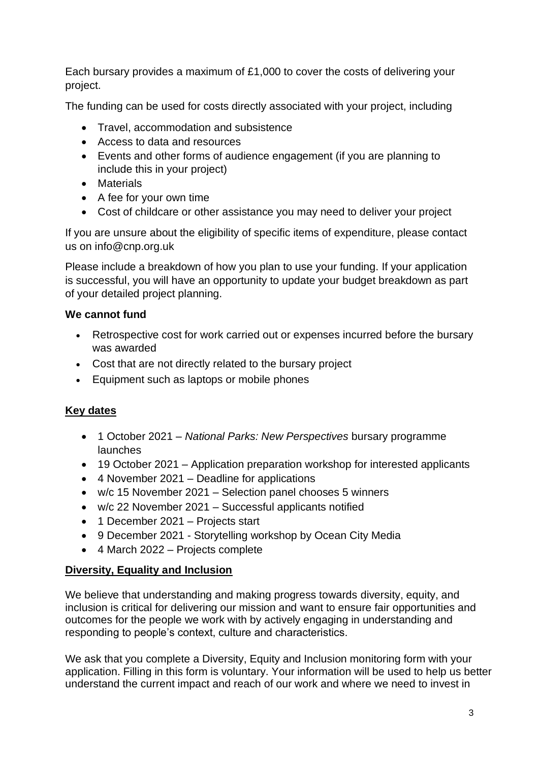Each bursary provides a maximum of £1,000 to cover the costs of delivering your project.

The funding can be used for costs directly associated with your project, including

- Travel, accommodation and subsistence
- Access to data and resources
- Events and other forms of audience engagement (if you are planning to include this in your project)
- Materials
- A fee for your own time
- Cost of childcare or other assistance you may need to deliver your project

If you are unsure about the eligibility of specific items of expenditure, please contact us on info@cnp.org.uk

Please include a breakdown of how you plan to use your funding. If your application is successful, you will have an opportunity to update your budget breakdown as part of your detailed project planning.

#### **We cannot fund**

- Retrospective cost for work carried out or expenses incurred before the bursary was awarded
- Cost that are not directly related to the bursary project
- Equipment such as laptops or mobile phones

# **Key dates**

- 1 October 2021 *National Parks: New Perspectives* bursary programme **launches**
- 19 October 2021 Application preparation workshop for interested applicants
- 4 November 2021 Deadline for applications
- w/c 15 November 2021 Selection panel chooses 5 winners
- w/c 22 November 2021 Successful applicants notified
- 1 December 2021 Projects start
- 9 December 2021 Storytelling workshop by Ocean City Media
- 4 March 2022 Projects complete

#### **Diversity, Equality and Inclusion**

We believe that understanding and making progress towards diversity, equity, and inclusion is critical for delivering our mission and want to ensure fair opportunities and outcomes for the people we work with by actively engaging in understanding and responding to people's context, culture and characteristics.

We ask that you complete a Diversity, Equity and Inclusion monitoring form with your application. Filling in this form is voluntary. Your information will be used to help us better understand the current impact and reach of our work and where we need to invest in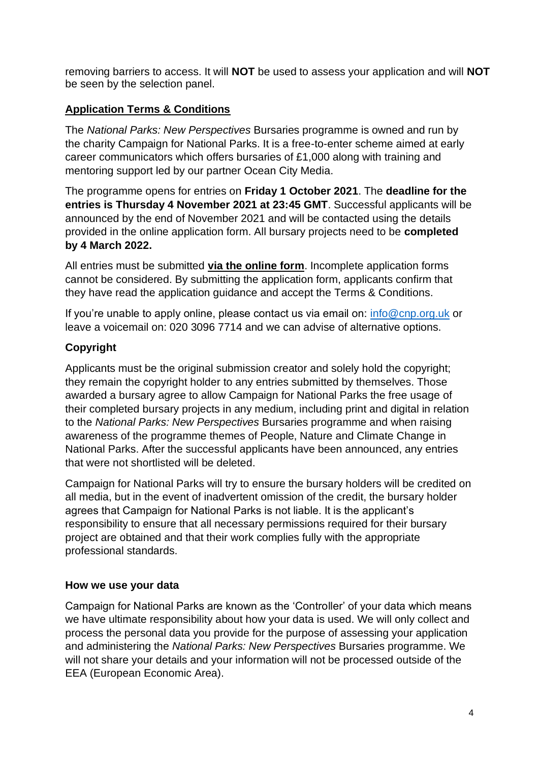removing barriers to access. It will **NOT** be used to assess your application and will **NOT**  be seen by the selection panel.

## **Application Terms & Conditions**

The *National Parks: New Perspectives* Bursaries programme is owned and run by the charity Campaign for National Parks. It is a free-to-enter scheme aimed at early career communicators which offers bursaries of £1,000 along with training and mentoring support led by our partner Ocean City Media.

The programme opens for entries on **Friday 1 October 2021**. The **deadline for the entries is Thursday 4 November 2021 at 23:45 GMT**. Successful applicants will be announced by the end of November 2021 and will be contacted using the details provided in the online application form. All bursary projects need to be **completed by 4 March 2022.**

All entries must be submitted **via the [online form](https://www.surveymonkey.co.uk/r/CNPPhotoComp21)**. Incomplete application forms cannot be considered. By submitting the application form, applicants confirm that they have read the application guidance and accept the Terms & Conditions.

If you're unable to apply online, please contact us via email on: [info@cnp.org.uk](mailto:info@cnp.org.uk) or leave a voicemail on: 020 3096 7714 and we can advise of alternative options.

# **Copyright**

Applicants must be the original submission creator and solely hold the copyright; they remain the copyright holder to any entries submitted by themselves. Those awarded a bursary agree to allow Campaign for National Parks the free usage of their completed bursary projects in any medium, including print and digital in relation to the *National Parks: New Perspectives* Bursaries programme and when raising awareness of the programme themes of People, Nature and Climate Change in National Parks. After the successful applicants have been announced, any entries that were not shortlisted will be deleted.

Campaign for National Parks will try to ensure the bursary holders will be credited on all media, but in the event of inadvertent omission of the credit, the bursary holder agrees that Campaign for National Parks is not liable. It is the applicant's responsibility to ensure that all necessary permissions required for their bursary project are obtained and that their work complies fully with the appropriate professional standards.

### **How we use your data**

Campaign for National Parks are known as the 'Controller' of your data which means we have ultimate responsibility about how your data is used. We will only collect and process the personal data you provide for the purpose of assessing your application and administering the *National Parks: New Perspectives* Bursaries programme. We will not share your details and your information will not be processed outside of the EEA (European Economic Area).